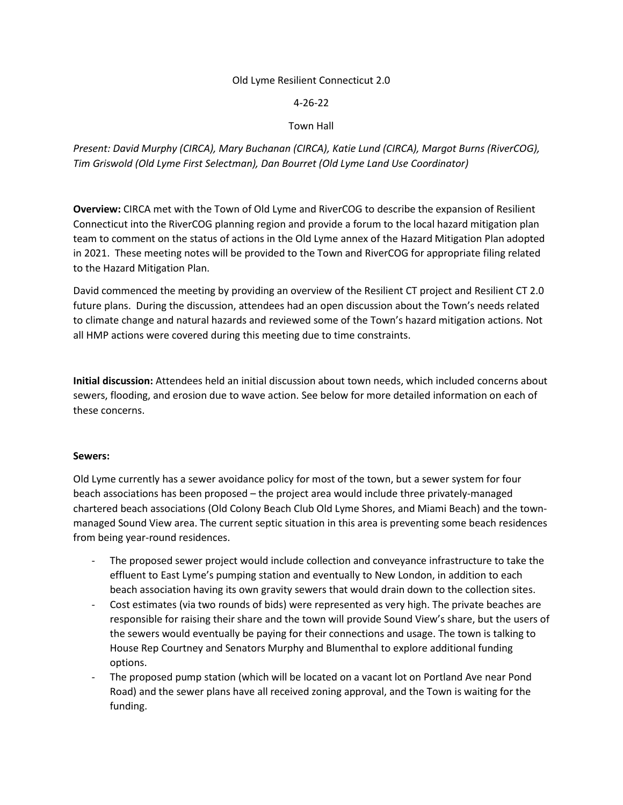#### Old Lyme Resilient Connecticut 2.0

#### 4-26-22

### Town Hall

*Present: David Murphy (CIRCA), Mary Buchanan (CIRCA), Katie Lund (CIRCA), Margot Burns (RiverCOG), Tim Griswold (Old Lyme First Selectman), Dan Bourret (Old Lyme Land Use Coordinator)*

**Overview:** CIRCA met with the Town of Old Lyme and RiverCOG to describe the expansion of Resilient Connecticut into the RiverCOG planning region and provide a forum to the local hazard mitigation plan team to comment on the status of actions in the Old Lyme annex of the Hazard Mitigation Plan adopted in 2021. These meeting notes will be provided to the Town and RiverCOG for appropriate filing related to the Hazard Mitigation Plan.

David commenced the meeting by providing an overview of the Resilient CT project and Resilient CT 2.0 future plans. During the discussion, attendees had an open discussion about the Town's needs related to climate change and natural hazards and reviewed some of the Town's hazard mitigation actions. Not all HMP actions were covered during this meeting due to time constraints.

**Initial discussion:** Attendees held an initial discussion about town needs, which included concerns about sewers, flooding, and erosion due to wave action. See below for more detailed information on each of these concerns.

#### **Sewers:**

Old Lyme currently has a sewer avoidance policy for most of the town, but a sewer system for four beach associations has been proposed – the project area would include three privately-managed chartered beach associations (Old Colony Beach Club Old Lyme Shores, and Miami Beach) and the townmanaged Sound View area. The current septic situation in this area is preventing some beach residences from being year-round residences.

- The proposed sewer project would include collection and conveyance infrastructure to take the effluent to East Lyme's pumping station and eventually to New London, in addition to each beach association having its own gravity sewers that would drain down to the collection sites.
- Cost estimates (via two rounds of bids) were represented as very high. The private beaches are responsible for raising their share and the town will provide Sound View's share, but the users of the sewers would eventually be paying for their connections and usage. The town is talking to House Rep Courtney and Senators Murphy and Blumenthal to explore additional funding options.
- The proposed pump station (which will be located on a vacant lot on Portland Ave near Pond Road) and the sewer plans have all received zoning approval, and the Town is waiting for the funding.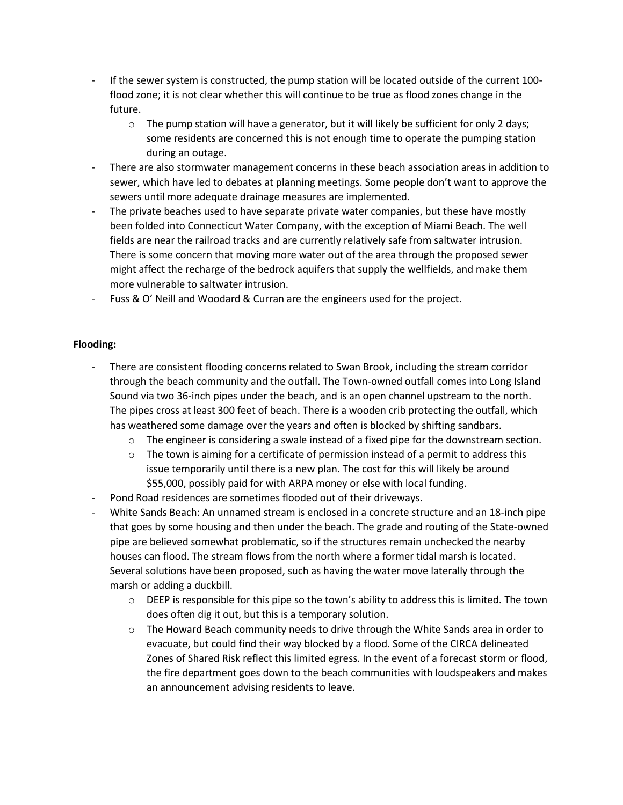- If the sewer system is constructed, the pump station will be located outside of the current 100 flood zone; it is not clear whether this will continue to be true as flood zones change in the future.
	- $\circ$  The pump station will have a generator, but it will likely be sufficient for only 2 days; some residents are concerned this is not enough time to operate the pumping station during an outage.
- There are also stormwater management concerns in these beach association areas in addition to sewer, which have led to debates at planning meetings. Some people don't want to approve the sewers until more adequate drainage measures are implemented.
- The private beaches used to have separate private water companies, but these have mostly been folded into Connecticut Water Company, with the exception of Miami Beach. The well fields are near the railroad tracks and are currently relatively safe from saltwater intrusion. There is some concern that moving more water out of the area through the proposed sewer might affect the recharge of the bedrock aquifers that supply the wellfields, and make them more vulnerable to saltwater intrusion.
- Fuss & O' Neill and Woodard & Curran are the engineers used for the project.

# **Flooding:**

- There are consistent flooding concerns related to Swan Brook, including the stream corridor through the beach community and the outfall. The Town-owned outfall comes into Long Island Sound via two 36-inch pipes under the beach, and is an open channel upstream to the north. The pipes cross at least 300 feet of beach. There is a wooden crib protecting the outfall, which has weathered some damage over the years and often is blocked by shifting sandbars.
	- $\circ$  The engineer is considering a swale instead of a fixed pipe for the downstream section.
	- $\circ$  The town is aiming for a certificate of permission instead of a permit to address this issue temporarily until there is a new plan. The cost for this will likely be around \$55,000, possibly paid for with ARPA money or else with local funding.
- Pond Road residences are sometimes flooded out of their driveways.
- White Sands Beach: An unnamed stream is enclosed in a concrete structure and an 18-inch pipe that goes by some housing and then under the beach. The grade and routing of the State-owned pipe are believed somewhat problematic, so if the structures remain unchecked the nearby houses can flood. The stream flows from the north where a former tidal marsh is located. Several solutions have been proposed, such as having the water move laterally through the marsh or adding a duckbill.
	- $\circ$  DEEP is responsible for this pipe so the town's ability to address this is limited. The town does often dig it out, but this is a temporary solution.
	- $\circ$  The Howard Beach community needs to drive through the White Sands area in order to evacuate, but could find their way blocked by a flood. Some of the CIRCA delineated Zones of Shared Risk reflect this limited egress. In the event of a forecast storm or flood, the fire department goes down to the beach communities with loudspeakers and makes an announcement advising residents to leave.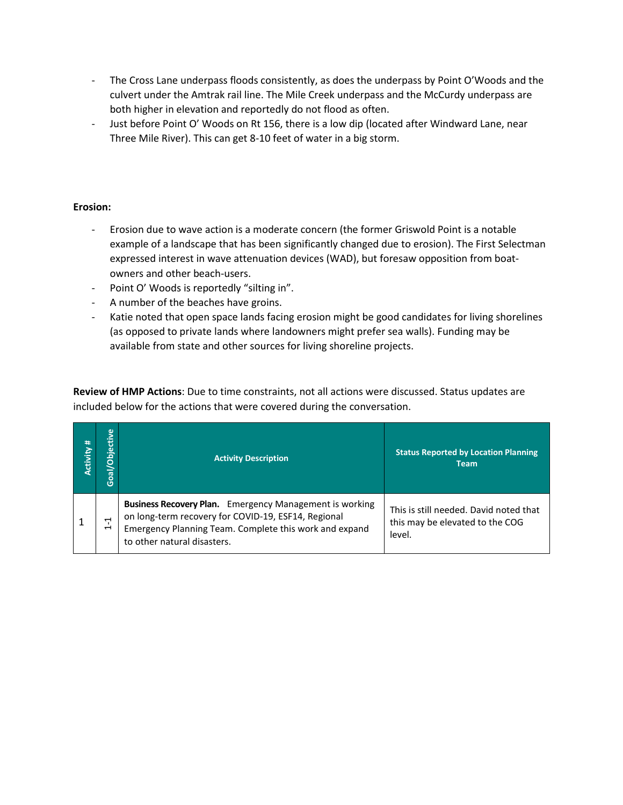- The Cross Lane underpass floods consistently, as does the underpass by Point O'Woods and the culvert under the Amtrak rail line. The Mile Creek underpass and the McCurdy underpass are both higher in elevation and reportedly do not flood as often.
- Just before Point O' Woods on Rt 156, there is a low dip (located after Windward Lane, near Three Mile River). This can get 8-10 feet of water in a big storm.

## **Erosion:**

- Erosion due to wave action is a moderate concern (the former Griswold Point is a notable example of a landscape that has been significantly changed due to erosion). The First Selectman expressed interest in wave attenuation devices (WAD), but foresaw opposition from boatowners and other beach-users.
- Point O' Woods is reportedly "silting in".
- A number of the beaches have groins.
- Katie noted that open space lands facing erosion might be good candidates for living shorelines (as opposed to private lands where landowners might prefer sea walls). Funding may be available from state and other sources for living shoreline projects.

**Review of HMP Actions**: Due to time constraints, not all actions were discussed. Status updates are included below for the actions that were covered during the conversation.

| #<br><b>Activity</b> | Goal/Objective                                                      | <b>Activity Description</b>                                                                                                                                                                                    | <b>Status Reported by Location Planning</b><br><b>Team</b>                          |
|----------------------|---------------------------------------------------------------------|----------------------------------------------------------------------------------------------------------------------------------------------------------------------------------------------------------------|-------------------------------------------------------------------------------------|
|                      | $\mathbf{\mathbf{\mathbf{\mathsf{H}}}}$<br>$\overline{\phantom{0}}$ | <b>Business Recovery Plan.</b> Emergency Management is working<br>on long-term recovery for COVID-19, ESF14, Regional<br>Emergency Planning Team. Complete this work and expand<br>to other natural disasters. | This is still needed. David noted that<br>this may be elevated to the COG<br>level. |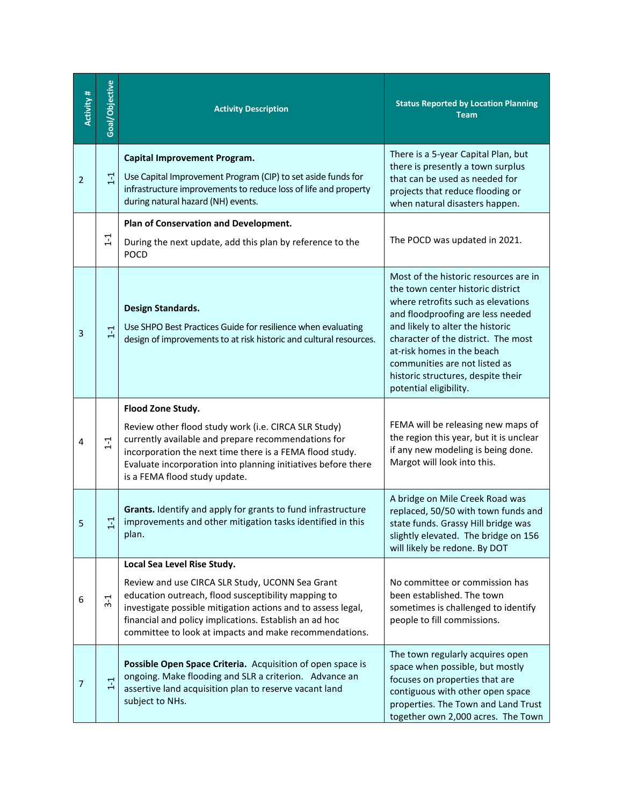| Activity #     | Goal/Objective | <b>Activity Description</b>                                                                                                                                                                                                                                                                                               | <b>Status Reported by Location Planning</b><br><b>Team</b>                                                                                                                                                                                                                                                                                                      |
|----------------|----------------|---------------------------------------------------------------------------------------------------------------------------------------------------------------------------------------------------------------------------------------------------------------------------------------------------------------------------|-----------------------------------------------------------------------------------------------------------------------------------------------------------------------------------------------------------------------------------------------------------------------------------------------------------------------------------------------------------------|
| $\overline{2}$ | $1 - 1$        | <b>Capital Improvement Program.</b><br>Use Capital Improvement Program (CIP) to set aside funds for<br>infrastructure improvements to reduce loss of life and property<br>during natural hazard (NH) events.                                                                                                              | There is a 5-year Capital Plan, but<br>there is presently a town surplus<br>that can be used as needed for<br>projects that reduce flooding or<br>when natural disasters happen.                                                                                                                                                                                |
|                | $1 - 1$        | Plan of Conservation and Development.<br>During the next update, add this plan by reference to the<br><b>POCD</b>                                                                                                                                                                                                         | The POCD was updated in 2021.                                                                                                                                                                                                                                                                                                                                   |
| 3              | $1 - 1$        | Design Standards.<br>Use SHPO Best Practices Guide for resilience when evaluating<br>design of improvements to at risk historic and cultural resources.                                                                                                                                                                   | Most of the historic resources are in<br>the town center historic district<br>where retrofits such as elevations<br>and floodproofing are less needed<br>and likely to alter the historic<br>character of the district. The most<br>at-risk homes in the beach<br>communities are not listed as<br>historic structures, despite their<br>potential eligibility. |
| 4              | $1 - 1$        | Flood Zone Study.<br>Review other flood study work (i.e. CIRCA SLR Study)<br>currently available and prepare recommendations for<br>incorporation the next time there is a FEMA flood study.<br>Evaluate incorporation into planning initiatives before there<br>is a FEMA flood study update.                            | FEMA will be releasing new maps of<br>the region this year, but it is unclear<br>if any new modeling is being done.<br>Margot will look into this.                                                                                                                                                                                                              |
| 5              | $1 - 1$        | Grants. Identify and apply for grants to fund infrastructure<br>improvements and other mitigation tasks identified in this<br>plan.                                                                                                                                                                                       | A bridge on Mile Creek Road was<br>replaced, 50/50 with town funds and<br>state funds. Grassy Hill bridge was<br>slightly elevated. The bridge on 156<br>will likely be redone. By DOT                                                                                                                                                                          |
| 6              | $3-1$          | Local Sea Level Rise Study.<br>Review and use CIRCA SLR Study, UCONN Sea Grant<br>education outreach, flood susceptibility mapping to<br>investigate possible mitigation actions and to assess legal,<br>financial and policy implications. Establish an ad hoc<br>committee to look at impacts and make recommendations. | No committee or commission has<br>been established. The town<br>sometimes is challenged to identify<br>people to fill commissions.                                                                                                                                                                                                                              |
| 7              | $1 - 1$        | Possible Open Space Criteria. Acquisition of open space is<br>ongoing. Make flooding and SLR a criterion. Advance an<br>assertive land acquisition plan to reserve vacant land<br>subject to NHs.                                                                                                                         | The town regularly acquires open<br>space when possible, but mostly<br>focuses on properties that are<br>contiguous with other open space<br>properties. The Town and Land Trust<br>together own 2,000 acres. The Town                                                                                                                                          |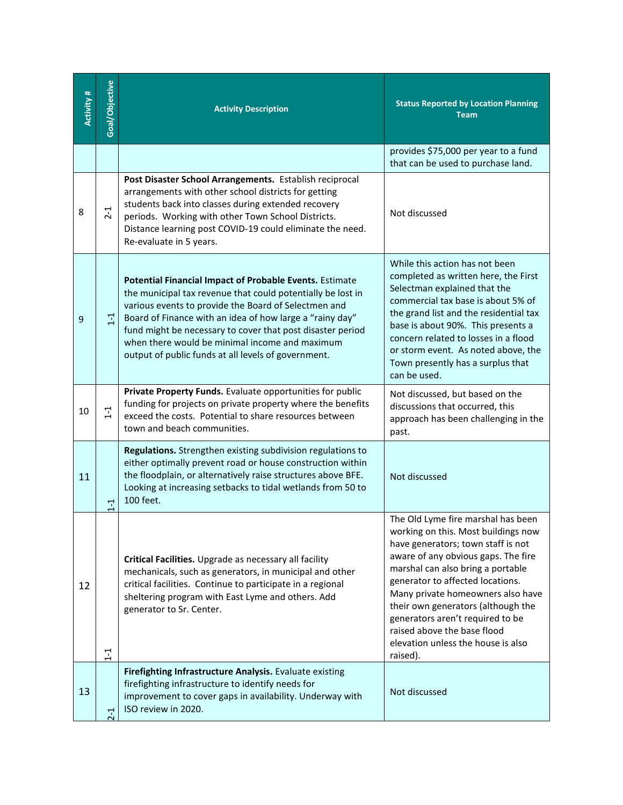| Activity # | Goal/Objective | <b>Activity Description</b>                                                                                                                                                                                                                                                                                                                                                                                       | <b>Status Reported by Location Planning</b><br><b>Team</b>                                                                                                                                                                                                                                                                                                                                                                      |
|------------|----------------|-------------------------------------------------------------------------------------------------------------------------------------------------------------------------------------------------------------------------------------------------------------------------------------------------------------------------------------------------------------------------------------------------------------------|---------------------------------------------------------------------------------------------------------------------------------------------------------------------------------------------------------------------------------------------------------------------------------------------------------------------------------------------------------------------------------------------------------------------------------|
|            |                |                                                                                                                                                                                                                                                                                                                                                                                                                   | provides \$75,000 per year to a fund<br>that can be used to purchase land.                                                                                                                                                                                                                                                                                                                                                      |
| 8          | $2 - 1$        | Post Disaster School Arrangements. Establish reciprocal<br>arrangements with other school districts for getting<br>students back into classes during extended recovery<br>periods. Working with other Town School Districts.<br>Distance learning post COVID-19 could eliminate the need.<br>Re-evaluate in 5 years.                                                                                              | Not discussed                                                                                                                                                                                                                                                                                                                                                                                                                   |
| 9          | $1 - 1$        | Potential Financial Impact of Probable Events. Estimate<br>the municipal tax revenue that could potentially be lost in<br>various events to provide the Board of Selectmen and<br>Board of Finance with an idea of how large a "rainy day"<br>fund might be necessary to cover that post disaster period<br>when there would be minimal income and maximum<br>output of public funds at all levels of government. | While this action has not been<br>completed as written here, the First<br>Selectman explained that the<br>commercial tax base is about 5% of<br>the grand list and the residential tax<br>base is about 90%. This presents a<br>concern related to losses in a flood<br>or storm event. As noted above, the<br>Town presently has a surplus that<br>can be used.                                                                |
| 10         | $1 - 1$        | Private Property Funds. Evaluate opportunities for public<br>funding for projects on private property where the benefits<br>exceed the costs. Potential to share resources between<br>town and beach communities.                                                                                                                                                                                                 | Not discussed, but based on the<br>discussions that occurred, this<br>approach has been challenging in the<br>past.                                                                                                                                                                                                                                                                                                             |
| 11         | $1 - 1$        | Regulations. Strengthen existing subdivision regulations to<br>either optimally prevent road or house construction within<br>the floodplain, or alternatively raise structures above BFE.<br>Looking at increasing setbacks to tidal wetlands from 50 to<br>100 feet.                                                                                                                                             | Not discussed                                                                                                                                                                                                                                                                                                                                                                                                                   |
| 12         | $\frac{1}{1}$  | Critical Facilities. Upgrade as necessary all facility<br>mechanicals, such as generators, in municipal and other<br>critical facilities. Continue to participate in a regional<br>sheltering program with East Lyme and others. Add<br>generator to Sr. Center.                                                                                                                                                  | The Old Lyme fire marshal has been<br>working on this. Most buildings now<br>have generators; town staff is not<br>aware of any obvious gaps. The fire<br>marshal can also bring a portable<br>generator to affected locations.<br>Many private homeowners also have<br>their own generators (although the<br>generators aren't required to be<br>raised above the base flood<br>elevation unless the house is also<br>raised). |
| 13         | $2 - 1$        | Firefighting Infrastructure Analysis. Evaluate existing<br>firefighting infrastructure to identify needs for<br>improvement to cover gaps in availability. Underway with<br>ISO review in 2020.                                                                                                                                                                                                                   | Not discussed                                                                                                                                                                                                                                                                                                                                                                                                                   |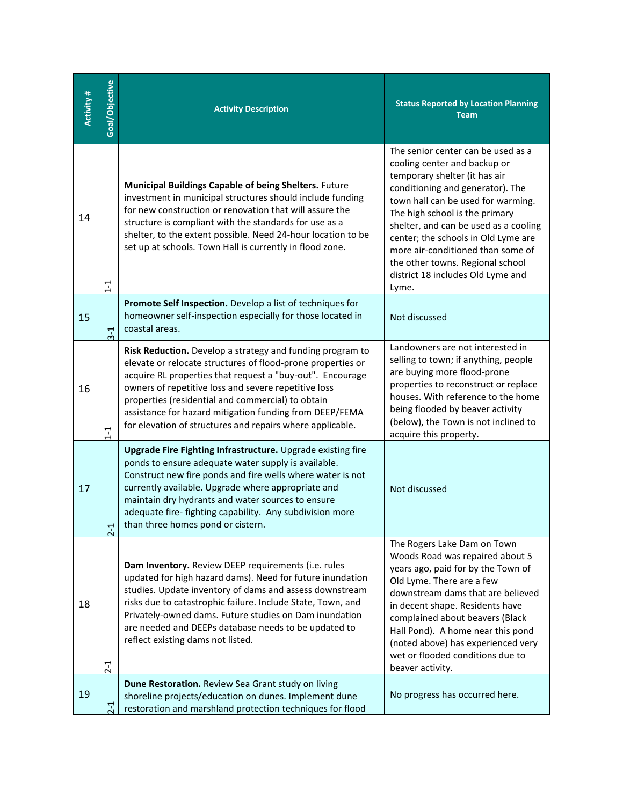| <b>Activity#</b> | Goal/Objective | <b>Activity Description</b>                                                                                                                                                                                                                                                                                                                                                                                                | <b>Status Reported by Location Planning</b><br><b>Team</b>                                                                                                                                                                                                                                                                                                                                                             |
|------------------|----------------|----------------------------------------------------------------------------------------------------------------------------------------------------------------------------------------------------------------------------------------------------------------------------------------------------------------------------------------------------------------------------------------------------------------------------|------------------------------------------------------------------------------------------------------------------------------------------------------------------------------------------------------------------------------------------------------------------------------------------------------------------------------------------------------------------------------------------------------------------------|
| 14               | $1 - 1$        | Municipal Buildings Capable of being Shelters. Future<br>investment in municipal structures should include funding<br>for new construction or renovation that will assure the<br>structure is compliant with the standards for use as a<br>shelter, to the extent possible. Need 24-hour location to be<br>set up at schools. Town Hall is currently in flood zone.                                                        | The senior center can be used as a<br>cooling center and backup or<br>temporary shelter (it has air<br>conditioning and generator). The<br>town hall can be used for warming.<br>The high school is the primary<br>shelter, and can be used as a cooling<br>center; the schools in Old Lyme are<br>more air-conditioned than some of<br>the other towns. Regional school<br>district 18 includes Old Lyme and<br>Lyme. |
| 15               | $3-1$          | Promote Self Inspection. Develop a list of techniques for<br>homeowner self-inspection especially for those located in<br>coastal areas.                                                                                                                                                                                                                                                                                   | Not discussed                                                                                                                                                                                                                                                                                                                                                                                                          |
| 16               | $1 - 1$        | Risk Reduction. Develop a strategy and funding program to<br>elevate or relocate structures of flood-prone properties or<br>acquire RL properties that request a "buy-out". Encourage<br>owners of repetitive loss and severe repetitive loss<br>properties (residential and commercial) to obtain<br>assistance for hazard mitigation funding from DEEP/FEMA<br>for elevation of structures and repairs where applicable. | Landowners are not interested in<br>selling to town; if anything, people<br>are buying more flood-prone<br>properties to reconstruct or replace<br>houses. With reference to the home<br>being flooded by beaver activity<br>(below), the Town is not inclined to<br>acquire this property.                                                                                                                            |
| 17               | 부<br>N         | Upgrade Fire Fighting Infrastructure. Upgrade existing fire<br>ponds to ensure adequate water supply is available.<br>Construct new fire ponds and fire wells where water is not<br>currently available. Upgrade where appropriate and<br>maintain dry hydrants and water sources to ensure<br>adequate fire- fighting capability. Any subdivision more<br>than three homes pond or cistern.                               | Not discussed                                                                                                                                                                                                                                                                                                                                                                                                          |
| 18               | $2 - 1$        | Dam Inventory. Review DEEP requirements (i.e. rules<br>updated for high hazard dams). Need for future inundation<br>studies. Update inventory of dams and assess downstream<br>risks due to catastrophic failure. Include State, Town, and<br>Privately-owned dams. Future studies on Dam inundation<br>are needed and DEEPs database needs to be updated to<br>reflect existing dams not listed.                          | The Rogers Lake Dam on Town<br>Woods Road was repaired about 5<br>years ago, paid for by the Town of<br>Old Lyme. There are a few<br>downstream dams that are believed<br>in decent shape. Residents have<br>complained about beavers (Black<br>Hall Pond). A home near this pond<br>(noted above) has experienced very<br>wet or flooded conditions due to<br>beaver activity.                                        |
| 19               | $2-1$          | Dune Restoration. Review Sea Grant study on living<br>shoreline projects/education on dunes. Implement dune<br>restoration and marshland protection techniques for flood                                                                                                                                                                                                                                                   | No progress has occurred here.                                                                                                                                                                                                                                                                                                                                                                                         |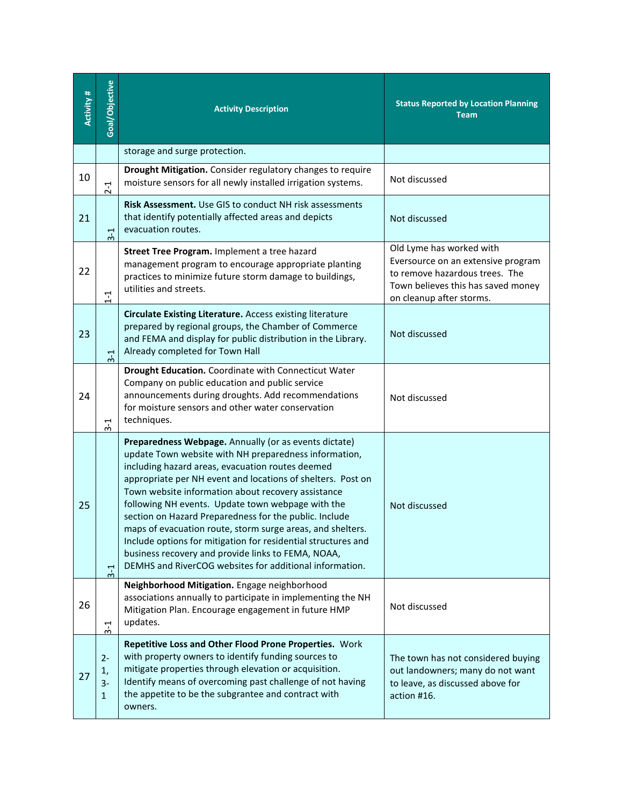| Activity # | Goal/Objective           | <b>Activity Description</b>                                                                                                                                                                                                                                                                                                                                                                                                                                                                                                                                                                                                                            | <b>Status Reported by Location Planning</b><br><b>Team</b>                                                                                                         |
|------------|--------------------------|--------------------------------------------------------------------------------------------------------------------------------------------------------------------------------------------------------------------------------------------------------------------------------------------------------------------------------------------------------------------------------------------------------------------------------------------------------------------------------------------------------------------------------------------------------------------------------------------------------------------------------------------------------|--------------------------------------------------------------------------------------------------------------------------------------------------------------------|
|            |                          | storage and surge protection.                                                                                                                                                                                                                                                                                                                                                                                                                                                                                                                                                                                                                          |                                                                                                                                                                    |
| 10         | $2 - 1$                  | Drought Mitigation. Consider regulatory changes to require<br>moisture sensors for all newly installed irrigation systems.                                                                                                                                                                                                                                                                                                                                                                                                                                                                                                                             | Not discussed                                                                                                                                                      |
| 21         | $3-1$                    | Risk Assessment. Use GIS to conduct NH risk assessments<br>that identify potentially affected areas and depicts<br>evacuation routes.                                                                                                                                                                                                                                                                                                                                                                                                                                                                                                                  | Not discussed                                                                                                                                                      |
| 22         | $1 - 1$                  | Street Tree Program. Implement a tree hazard<br>management program to encourage appropriate planting<br>practices to minimize future storm damage to buildings,<br>utilities and streets.                                                                                                                                                                                                                                                                                                                                                                                                                                                              | Old Lyme has worked with<br>Eversource on an extensive program<br>to remove hazardous trees. The<br>Town believes this has saved money<br>on cleanup after storms. |
| 23         | $3-1$                    | <b>Circulate Existing Literature.</b> Access existing literature<br>prepared by regional groups, the Chamber of Commerce<br>and FEMA and display for public distribution in the Library.<br>Already completed for Town Hall                                                                                                                                                                                                                                                                                                                                                                                                                            | Not discussed                                                                                                                                                      |
| 24         | $3 - 1$                  | Drought Education. Coordinate with Connecticut Water<br>Company on public education and public service<br>announcements during droughts. Add recommendations<br>for moisture sensors and other water conservation<br>techniques.                                                                                                                                                                                                                                                                                                                                                                                                                       | Not discussed                                                                                                                                                      |
| 25         | $3-1$                    | Preparedness Webpage. Annually (or as events dictate)<br>update Town website with NH preparedness information,<br>including hazard areas, evacuation routes deemed<br>appropriate per NH event and locations of shelters. Post on<br>Town website information about recovery assistance<br>following NH events. Update town webpage with the<br>section on Hazard Preparedness for the public. Include<br>maps of evacuation route, storm surge areas, and shelters.<br>Include options for mitigation for residential structures and<br>business recovery and provide links to FEMA, NOAA,<br>DEMHS and RiverCOG websites for additional information. | Not discussed                                                                                                                                                      |
| 26         | $3-1$                    | Neighborhood Mitigation. Engage neighborhood<br>associations annually to participate in implementing the NH<br>Mitigation Plan. Encourage engagement in future HMP<br>updates.                                                                                                                                                                                                                                                                                                                                                                                                                                                                         | Not discussed                                                                                                                                                      |
| 27         | $2 -$<br>1,<br>$3-$<br>1 | Repetitive Loss and Other Flood Prone Properties. Work<br>with property owners to identify funding sources to<br>mitigate properties through elevation or acquisition.<br>Identify means of overcoming past challenge of not having<br>the appetite to be the subgrantee and contract with<br>owners.                                                                                                                                                                                                                                                                                                                                                  | The town has not considered buying<br>out landowners; many do not want<br>to leave, as discussed above for<br>action #16.                                          |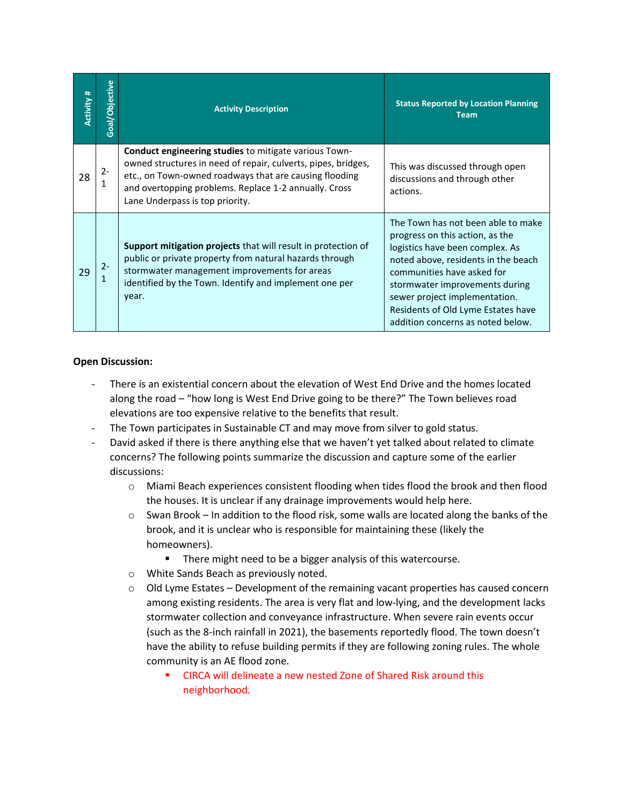| Activity # | Objective<br>$\overline{\text{Goal}}$ | <b>Activity Description</b>                                                                                                                                                                                                                                                         | <b>Status Reported by Location Planning</b><br><b>Team</b>                                                                                                                                                                                                                                                                  |
|------------|---------------------------------------|-------------------------------------------------------------------------------------------------------------------------------------------------------------------------------------------------------------------------------------------------------------------------------------|-----------------------------------------------------------------------------------------------------------------------------------------------------------------------------------------------------------------------------------------------------------------------------------------------------------------------------|
| 28         | 2-                                    | <b>Conduct engineering studies to mitigate various Town-</b><br>owned structures in need of repair, culverts, pipes, bridges,<br>etc., on Town-owned roadways that are causing flooding<br>and overtopping problems. Replace 1-2 annually. Cross<br>Lane Underpass is top priority. | This was discussed through open<br>discussions and through other<br>actions.                                                                                                                                                                                                                                                |
| 29         | $2 -$                                 | Support mitigation projects that will result in protection of<br>public or private property from natural hazards through<br>stormwater management improvements for areas<br>identified by the Town. Identify and implement one per<br>year.                                         | The Town has not been able to make<br>progress on this action, as the<br>logistics have been complex. As<br>noted above, residents in the beach<br>communities have asked for<br>stormwater improvements during<br>sewer project implementation.<br>Residents of Old Lyme Estates have<br>addition concerns as noted below. |

### **Open Discussion:**

- There is an existential concern about the elevation of West End Drive and the homes located along the road – "how long is West End Drive going to be there?" The Town believes road elevations are too expensive relative to the benefits that result.
- The Town participates in Sustainable CT and may move from silver to gold status.
- David asked if there is there anything else that we haven't yet talked about related to climate concerns? The following points summarize the discussion and capture some of the earlier discussions:
	- o Miami Beach experiences consistent flooding when tides flood the brook and then flood the houses. It is unclear if any drainage improvements would help here.
	- $\circ$  Swan Brook In addition to the flood risk, some walls are located along the banks of the brook, and it is unclear who is responsible for maintaining these (likely the homeowners).
		- There might need to be a bigger analysis of this watercourse.
	- o White Sands Beach as previously noted.
	- $\circ$  Old Lyme Estates Development of the remaining vacant properties has caused concern among existing residents. The area is very flat and low-lying, and the development lacks stormwater collection and conveyance infrastructure. When severe rain events occur (such as the 8-inch rainfall in 2021), the basements reportedly flood. The town doesn't have the ability to refuse building permits if they are following zoning rules. The whole community is an AE flood zone.
		- **CIRCA will delineate a new nested Zone of Shared Risk around this** neighborhood.